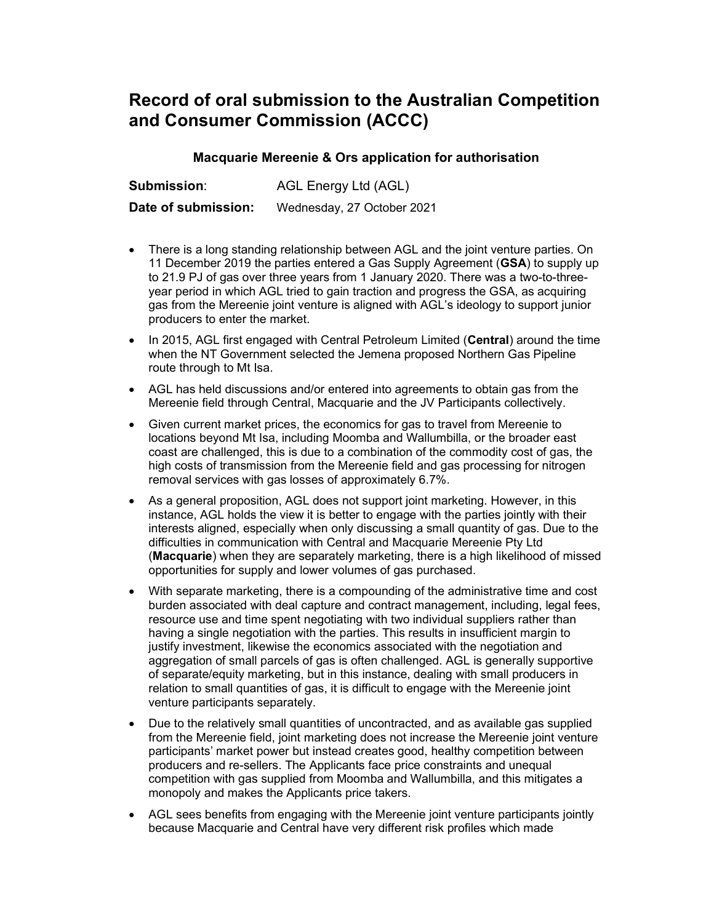## Record of oral submission to the Australian Competition and Consumer Commission (ACCC)

## Macquarie Mereenie & Ors application for authorisation

Submission: AGL Energy Ltd (AGL)

Date of submission: Wednesday, 27 October 2021

- There is a long standing relationship between AGL and the joint venture parties. On 11 December 2019 the parties entered a Gas Supply Agreement (GSA) to supply up to 21.9 PJ of gas over three years from 1 January 2020. There was a two-to-threeyear period in which AGL tried to gain traction and progress the GSA, as acquiring gas from the Mereenie joint venture is aligned with AGL's ideology to support junior producers to enter the market.
- In 2015, AGL first engaged with Central Petroleum Limited (Central) around the time when the NT Government selected the Jemena proposed Northern Gas Pipeline route through to Mt Isa.
- AGL has held discussions and/or entered into agreements to obtain gas from the Mereenie field through Central, Macquarie and the JV Participants collectively.
- Given current market prices, the economics for gas to travel from Mereenie to locations beyond Mt Isa, including Moomba and Wallumbilla, or the broader east coast are challenged, this is due to a combination of the commodity cost of gas, the high costs of transmission from the Mereenie field and gas processing for nitrogen removal services with gas losses of approximately 6.7%.
- As a general proposition, AGL does not support joint marketing. However, in this instance, AGL holds the view it is better to engage with the parties jointly with their interests aligned, especially when only discussing a small quantity of gas. Due to the difficulties in communication with Central and Macquarie Mereenie Pty Ltd (Macquarie) when they are separately marketing, there is a high likelihood of missed opportunities for supply and lower volumes of gas purchased.
- With separate marketing, there is a compounding of the administrative time and cost burden associated with deal capture and contract management, including, legal fees, resource use and time spent negotiating with two individual suppliers rather than having a single negotiation with the parties. This results in insufficient margin to justify investment, likewise the economics associated with the negotiation and aggregation of small parcels of gas is often challenged. AGL is generally supportive of separate/equity marketing, but in this instance, dealing with small producers in relation to small quantities of gas, it is difficult to engage with the Mereenie joint venture participants separately.
- Due to the relatively small quantities of uncontracted, and as available gas supplied from the Mereenie field, joint marketing does not increase the Mereenie joint venture participants' market power but instead creates good, healthy competition between producers and re-sellers. The Applicants face price constraints and unequal competition with gas supplied from Moomba and Wallumbilla, and this mitigates a monopoly and makes the Applicants price takers.
- AGL sees benefits from engaging with the Mereenie joint venture participants jointly because Macquarie and Central have very different risk profiles which made